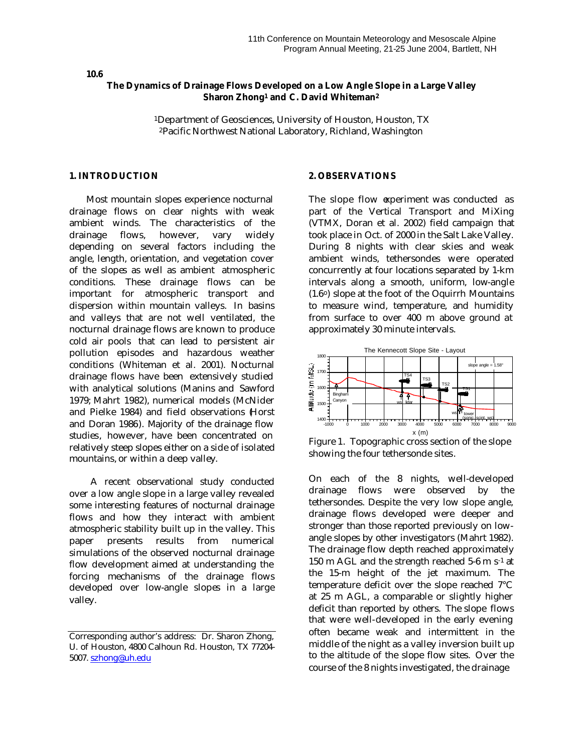### **10.6**

### **The Dynamics of Drainage Flows Developed on a Low Angle Slope in a Large Valley Sharon Zhong1 and C. David Whiteman<sup>2</sup>**

<sup>1</sup>Department of Geosciences, University of Houston, Houston, TX <sup>2</sup>Pacific Northwest National Laboratory, Richland, Washington

#### **1. INTRODUCTION**

Most mountain slopes experience nocturnal drainage flows on clear nights with weak ambient winds. The characteristics of the drainage flows, however, vary widely depending on several factors including the angle, length, orientation, and vegetation cover of the slopes as well as ambient atmospheric conditions. These drainage flows can be important for atmospheric transport and dispersion within mountain valleys. In basins and valleys that are not well ventilated, the nocturnal drainage flows are known to produce cold air pools that can lead to persistent air pollution episodes and hazardous weather conditions (Whiteman et al. 2001). Nocturnal drainage flows have been extensively studied with analytical solutions (Manins and Sawford 1979; Mahrt 1982), numerical models (McNider and Pielke 1984) and field observations (Horst and Doran 1986). Majority of the drainage flow studies, however, have been concentrated on relatively steep slopes either on a side of isolated mountains, or within a deep valley.

A recent observational study conducted over a low angle slope in a large valley revealed some interesting features of nocturnal drainage flows and how they interact with ambient atmospheric stability built up in the valley. This paper presents results from numerical simulations of the observed nocturnal drainage flow development aimed at understanding the forcing mechanisms of the drainage flows developed over low-angle slopes in a large valley.

#### **2. OBSERVATIONS**

The slope flow experiment was conducted as part of the Vertical Transport and MiXing (VTMX, Doran et al. 2002) field campaign that took place in Oct. of 2000 in the Salt Lake Valley. During 8 nights with clear skies and weak ambient winds, tethersondes were operated concurrently at four locations separated by 1-km intervals along a smooth, uniform, low-angle  $(1.6\textdegree)$  slope at the foot of the Oquirrh Mountains to measure wind, temperature, and humidity from surface to over 400 m above ground at approximately 30 minute intervals.



Figure 1. Topographic cross section of the slope showing the four tethersonde sites.

On each of the 8 nights, well-developed drainage flows were observed by the tethersondes. Despite the very low slope angle, drainage flows developed were deeper and stronger than those reported previously on lowangle slopes by other investigators (Mahrt 1982). The drainage flow depth reached approximately 150 m AGL and the strength reached 5-6 m s<sup>-1</sup> at the 15-m height of the jet maximum. The temperature deficit over the slope reached 7°C at 25 m AGL, a comparable or slightly higher deficit than reported by others. The slope flows that were well-developed in the early evening often became weak and intermittent in the middle of the night as a valley inversion built up to the altitude of the slope flow sites. Over the course of the 8 nights investigated, the drainage

Corresponding author's address: Dr. Sharon Zhong, U. of Houston, 4800 Calhoun Rd. Houston, TX 77204- 5007. szhong@uh.edu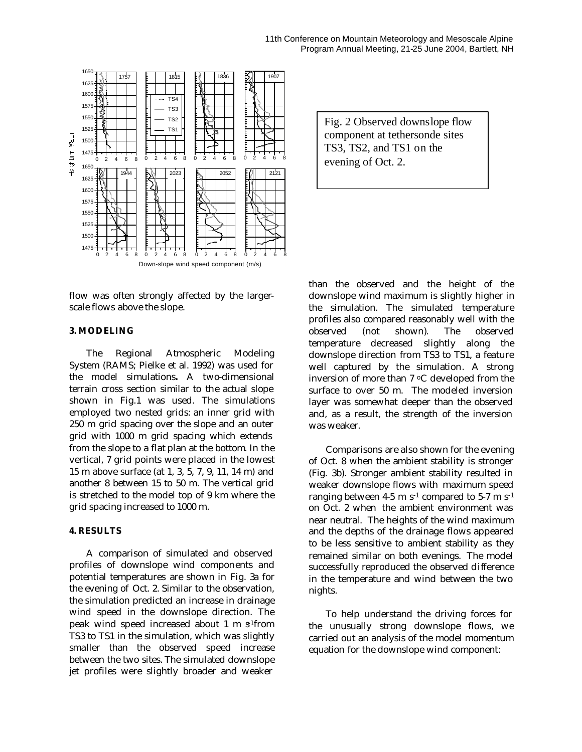

flow was often strongly affected by the largerscale flows above the slope.

#### **3. MODELING**

The Regional Atmospheric Modeling System (RAMS; Pielke et al. 1992) was used for the model simulations**.** A two-dimensional terrain cross section similar to the actual slope shown in Fig.1 was used. The simulations employed two nested grids: an inner grid with 250 m grid spacing over the slope and an outer grid with 1000 m grid spacing which extends from the slope to a flat plan at the bottom. In the vertical, 7 grid points were placed in the lowest 15 m above surface (at 1, 3, 5, 7, 9, 11, 14 m) and another 8 between 15 to 50 m. The vertical grid is stretched to the model top of 9 km where the grid spacing increased to 1000 m.

### **4. RESULTS**

A comparison of simulated and observed profiles of downslope wind components and potential temperatures are shown in Fig. 3a for the evening of Oct. 2. Similar to the observation, the simulation predicted an increase in drainage wind speed in the downslope direction. The peak wind speed increased about 1 m  $s^1$ from TS3 to TS1 in the simulation, which was slightly smaller than the observed speed increase between the two sites. The simulated downslope jet profiles were slightly broader and weaker

Fig. 2 Observed downslope flow component at tethersonde sites TS3, TS2, and TS1 on the evening of Oct. 2.

than the observed and the height of the downslope wind maximum is slightly higher in the simulation. The simulated temperature profiles also compared reasonably well with the observed (not shown). The observed temperature decreased slightly along the downslope direction from TS3 to TS1, a feature well captured by the simulation. A strong inversion of more than 7 oC developed from the surface to over 50 m. The modeled inversion layer was somewhat deeper than the observed and, as a result, the strength of the inversion was weaker.

Comparisons are also shown for the evening of Oct. 8 when the ambient stability is stronger (Fig. 3b). Stronger ambient stability resulted in weaker downslope flows with maximum speed ranging between 4-5 m  $s^{-1}$  compared to 5-7 m  $s^{-1}$ on Oct. 2 when the ambient environment was near neutral. The heights of the wind maximum and the depths of the drainage flows appeared to be less sensitive to ambient stability as they remained similar on both evenings. The model successfully reproduced the observed difference in the temperature and wind between the two nights.

To help understand the driving forces for the unusually strong downslope flows, we carried out an analysis of the model momentum equation for the downslope wind component: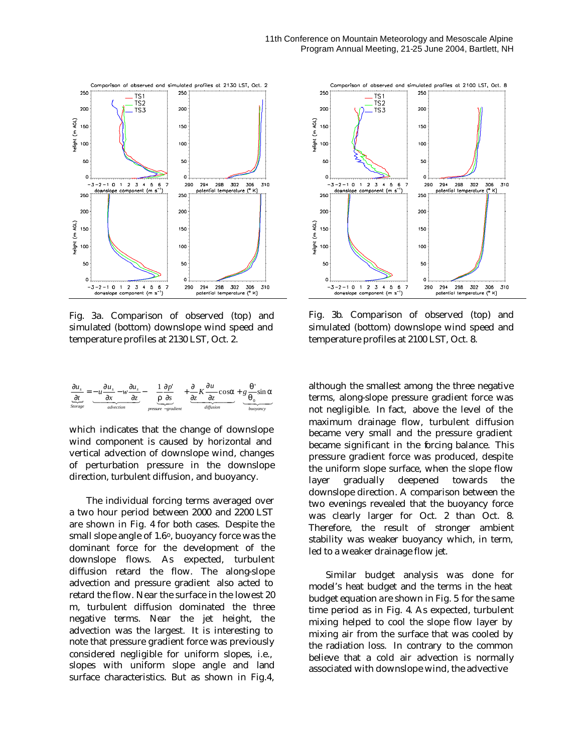

Fig. 3a. Comparison of observed (top) and simulated (bottom) downslope wind speed and temperature profiles at 2130 LST, Oct. 2.



which indicates that the change of downslope wind component is caused by horizontal and vertical advection of downslope wind, changes of perturbation pressure in the downslope direction, turbulent diffusion, and buoyancy.

The individual forcing terms averaged over a two hour period between 2000 and 2200 LST are shown in Fig. 4 for both cases. Despite the small slope angle of  $1.6^{\circ}$ , buoyancy force was the dominant force for the development of the downslope flows. As expected, turbulent diffusion retard the flow. The along-slope advection and pressure gradient also acted to retard the flow. Near the surface in the lowest 20 m, turbulent diffusion dominated the three negative terms. Near the jet height, the advection was the largest. It is interesting to note that pressure gradient force was previously considered negligible for uniform slopes, i.e., slopes with uniform slope angle and land surface characteristics. But as shown in Fig.4,



Fig. 3b. Comparison of observed (top) and simulated (bottom) downslope wind speed and temperature profiles at 2100 LST, Oct. 8.

although the smallest among the three negative terms, along-slope pressure gradient force was not negligible. In fact, above the level of the maximum drainage flow, turbulent diffusion became very small and the pressure gradient became significant in the forcing balance. This pressure gradient force was produced, despite the uniform slope surface, when the slope flow layer gradually deepened towards the downslope direction. A comparison between the two evenings revealed that the buoyancy force was clearly larger for Oct. 2 than Oct. 8. Therefore, the result of stronger ambient stability was weaker buoyancy which, in term, led to a weaker drainage flow jet.

Similar budget analysis was done for model's heat budget and the terms in the heat budget equation are shown in Fig. 5 for the same time period as in Fig. 4. As expected, turbulent mixing helped to cool the slope flow layer by mixing air from the surface that was cooled by the radiation loss. In contrary to the common believe that a cold air advection is normally associated with downslope wind, the advective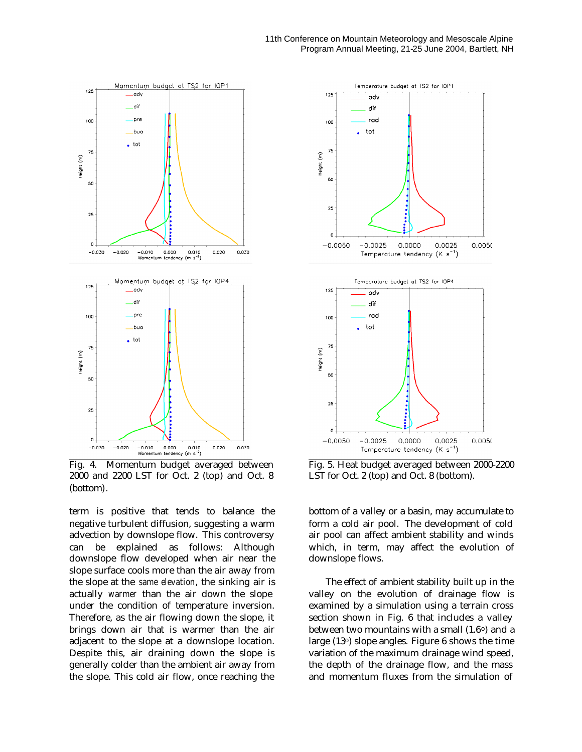

Fig. 4. Momentum budget averaged between 2000 and 2200 LST for Oct. 2 (top) and Oct. 8 (bottom).

term is positive that tends to balance the negative turbulent diffusion, suggesting a warm advection by downslope flow. This controversy can be explained as follows: Although downslope flow developed when air near the slope surface cools more than the air away from the slope at the *same elevation*, the sinking air is actually *warmer* than the air down the slope under the condition of temperature inversion. Therefore, as the air flowing down the slope, it brings down air that is warmer than the air adjacent to the slope at a downslope location. Despite this, air draining down the slope is generally colder than the ambient air away from the slope. This cold air flow, once reaching the



Fig. 5. Heat budget averaged between 2000-2200 LST for Oct. 2 (top) and Oct. 8 (bottom).

bottom of a valley or a basin, may accumulate to form a cold air pool. The development of cold air pool can affect ambient stability and winds which, in term, may affect the evolution of downslope flows.

The effect of ambient stability built up in the valley on the evolution of drainage flow is examined by a simulation using a terrain cross section shown in Fig. 6 that includes a valley between two mountains with a small (1.6<sup>o</sup>) and a large (13o) slope angles. Figure 6 shows the time variation of the maximum drainage wind speed, the depth of the drainage flow, and the mass and momentum fluxes from the simulation of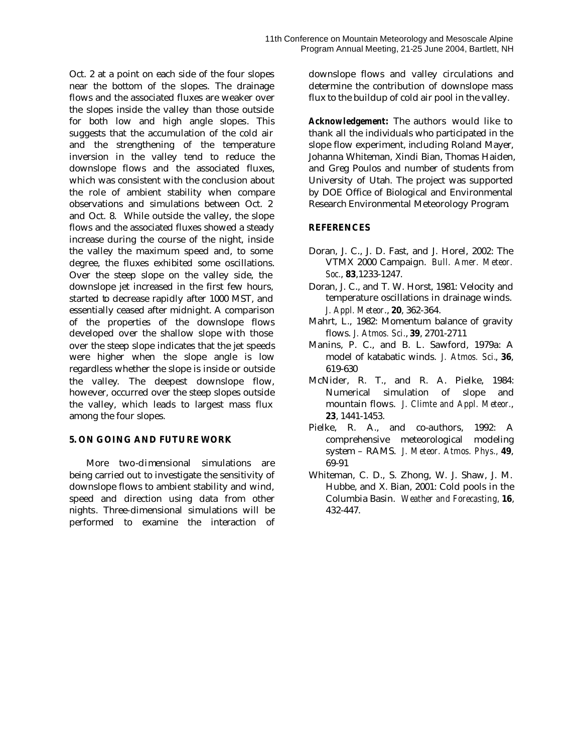Oct. 2 at a point on each side of the four slopes near the bottom of the slopes. The drainage flows and the associated fluxes are weaker over the slopes inside the valley than those outside for both low and high angle slopes. This suggests that the accumulation of the cold air and the strengthening of the temperature inversion in the valley tend to reduce the downslope flows and the associated fluxes, which was consistent with the conclusion about the role of ambient stability when compare observations and simulations between Oct. 2 and Oct. 8. While outside the valley, the slope flows and the associated fluxes showed a steady increase during the course of the night, inside the valley the maximum speed and, to some degree, the fluxes exhibited some oscillations. Over the steep slope on the valley side, the downslope jet increased in the first few hours, started to decrease rapidly after 1000 MST, and essentially ceased after midnight. A comparison of the properties of the downslope flows developed over the shallow slope with those over the steep slope indicates that the jet speeds were higher when the slope angle is low regardless whether the slope is inside or outside the valley. The deepest downslope flow, however, occurred over the steep slopes outside the valley, which leads to largest mass flux among the four slopes.

# **5. ON GOING AND FUTURE WORK**

More two-dimensional simulations are being carried out to investigate the sensitivity of downslope flows to ambient stability and wind, speed and direction using data from other nights. Three-dimensional simulations will be performed to examine the interaction of downslope flows and valley circulations and determine the contribution of downslope mass flux to the buildup of cold air pool in the valley.

*Acknowledgement***:** The authors would like to thank all the individuals who participated in the slope flow experiment, including Roland Mayer, Johanna Whiteman, Xindi Bian, Thomas Haiden, and Greg Poulos and number of students from University of Utah. The project was supported by DOE Office of Biological and Environmental Research Environmental Meteorology Program.

# **REFERENCES**

- Doran, J. C., J. D. Fast, and J. Horel, 2002: The VTMX 2000 Campaign. *Bull. Amer. Meteor. Soc.*, **83**,1233-1247.
- Doran, J. C., and T. W. Horst, 1981: Velocity and temperature oscillations in drainage winds. *J. Appl. Meteor*., **20**, 362-364.
- Mahrt, L., 1982: Momentum balance of gravity flows. *J. Atmos. Sci.*, **39**, 2701-2711
- Manins, P. C., and B. L. Sawford, 1979a: A model of katabatic winds. *J. Atmos. Sci.*, **36**, 619-630
- McNider, R. T., and R. A. Pielke, 1984: Numerical simulation of slope and mountain flows. *J. Climte and Appl. Meteor.*, **23**, 1441-1453.
- Pielke, R. A., and co-authors, 1992: A comprehensive meteorological modeling system – RAMS. *J. Meteor. Atmos. Phys.,* **49**, 69-91
- Whiteman, C. D., S. Zhong, W. J. Shaw, J. M. Hubbe, and X. Bian, 2001: Cold pools in the Columbia Basin. *Weather and Forecasting,* **16**, 432-447.